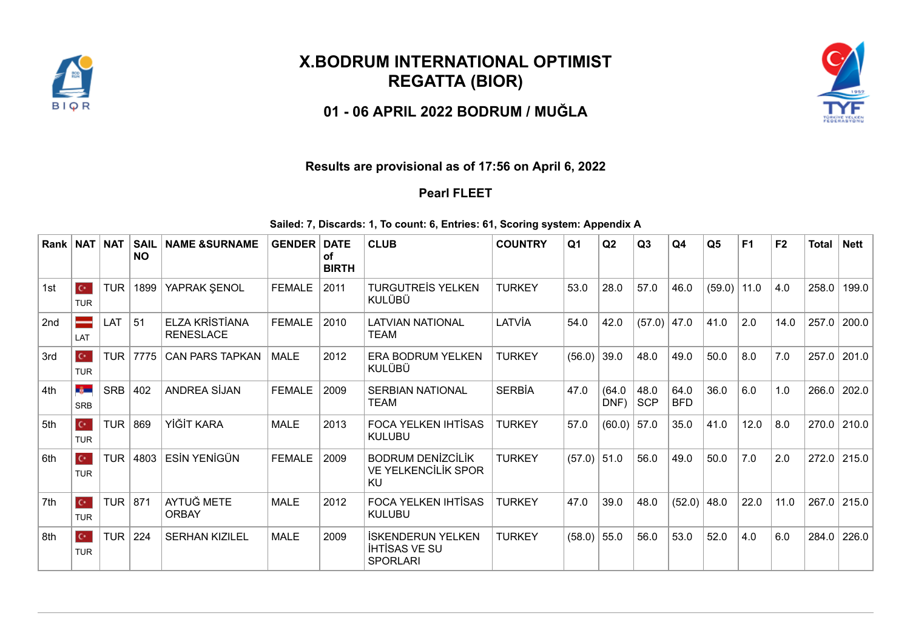

## **X.BODRUM INTERNATIONAL OPTIMIST REGATTA (BIOR)**

**01 - 06 APRIL 2022 BODRUM / MUĞLA**



## **Results are provisional as of 17:56 on April 6, 2022**

## **Pearl FLEET**

**Sailed: 7, Discards: 1, To count: 6, Entries: 61, Scoring system: Appendix A**

| Rank | NAT                                  | <b>NAT</b> | <b>SAIL</b><br><b>NO</b> | <b>NAME &amp;SURNAME</b>                  | <b>GENDER</b> | <b>DATE</b><br>οf<br><b>BIRTH</b> | <b>CLUB</b>                                                         | <b>COUNTRY</b> | Q <sub>1</sub> | Q2             | Q3                 | Q4                 | Q <sub>5</sub> | F <sub>1</sub> | F <sub>2</sub> | <b>Total</b> | Nett        |
|------|--------------------------------------|------------|--------------------------|-------------------------------------------|---------------|-----------------------------------|---------------------------------------------------------------------|----------------|----------------|----------------|--------------------|--------------------|----------------|----------------|----------------|--------------|-------------|
| 1st  | $\mathbf{C}^{\star}$ .<br><b>TUR</b> | <b>TUR</b> | 1899                     | YAPRAK ŞENOL                              | <b>FEMALE</b> | 2011                              | <b>TURGUTREIS YELKEN</b><br>KULÜBÜ                                  | <b>TURKEY</b>  | 53.0           | 28.0           | 57.0               | 46.0               | $(59.0)$ 11.0  |                | 4.0            | 258.0        | 199.0       |
| 2nd  | LAT                                  | LAT        | 51                       | <b>ELZA KRİSTİANA</b><br><b>RENESLACE</b> | <b>FEMALE</b> | 2010                              | <b>LATVIAN NATIONAL</b><br><b>TEAM</b>                              | LATVİA         | 54.0           | 42.0           | (57.0)             | 47.0               | 41.0           | 2.0            | 14.0           | 257.0        | 200.0       |
| 3rd  | $\mathbf{C}^{\star}$ .<br><b>TUR</b> | <b>TUR</b> | 7775                     | <b>CAN PARS TAPKAN</b>                    | <b>MALE</b>   | 2012                              | ERA BODRUM YELKEN<br><b>KULÜBÜ</b>                                  | <b>TURKEY</b>  | (56.0)         | 39.0           | 48.0               | 49.0               | 50.0           | 8.0            | 7.0            | 257.0        | 201.0       |
| 4th  | <b>Section</b><br><b>SRB</b>         | <b>SRB</b> | 402                      | <b>ANDREA SIJAN</b>                       | <b>FEMALE</b> | 2009                              | <b>SERBIAN NATIONAL</b><br><b>TEAM</b>                              | <b>SERBİA</b>  | 47.0           | (64.0)<br>DNF) | 48.0<br><b>SCP</b> | 64.0<br><b>BFD</b> | 36.0           | 6.0            | 1.0            | 266.0        | 202.0       |
| 5th  | $\mathbb{C}^*$<br><b>TUR</b>         | <b>TUR</b> | 869                      | YİĞİT KARA                                | <b>MALE</b>   | 2013                              | FOCA YELKEN IHTİSAS<br><b>KULUBU</b>                                | <b>TURKEY</b>  | 57.0           | (60.0)         | 57.0               | 35.0               | 41.0           | 12.0           | 8.0            | 270.0        | 210.0       |
| ∣6th | $\mathbf{C}^{\star}$<br><b>TUR</b>   | <b>TUR</b> | 4803                     | <b>ESİN YENİGÜN</b>                       | <b>FEMALE</b> | 2009                              | <b>BODRUM DENIZCILIK</b><br><b>VE YELKENCİLİK SPOR</b><br>KU        | <b>TURKEY</b>  | (57.0)         | 51.0           | 56.0               | 49.0               | 50.0           | 7.0            | 2.0            |              | 272.0 215.0 |
| 7th  | $\mathbf{C}^{\star}$<br><b>TUR</b>   | <b>TUR</b> | 871                      | AYTUĞ METE<br><b>ORBAY</b>                | <b>MALE</b>   | 2012                              | <b>FOCA YELKEN IHTISAS</b><br><b>KULUBU</b>                         | <b>TURKEY</b>  | 47.0           | 39.0           | 48.0               | (52.0)             | 48.0           | 22.0           | 11.0           | 267.0        | 215.0       |
| 8th  | $\mathbf{C}^{\star}$<br><b>TUR</b>   | <b>TUR</b> | 224                      | <b>SERHAN KIZILEL</b>                     | <b>MALE</b>   | 2009                              | <b>ISKENDERUN YELKEN</b><br><b>IHTISAS VE SU</b><br><b>SPORLARI</b> | <b>TURKEY</b>  | (58.0)         | 55.0           | 56.0               | 53.0               | 52.0           | 4.0            | 6.0            | 284.0        | 226.0       |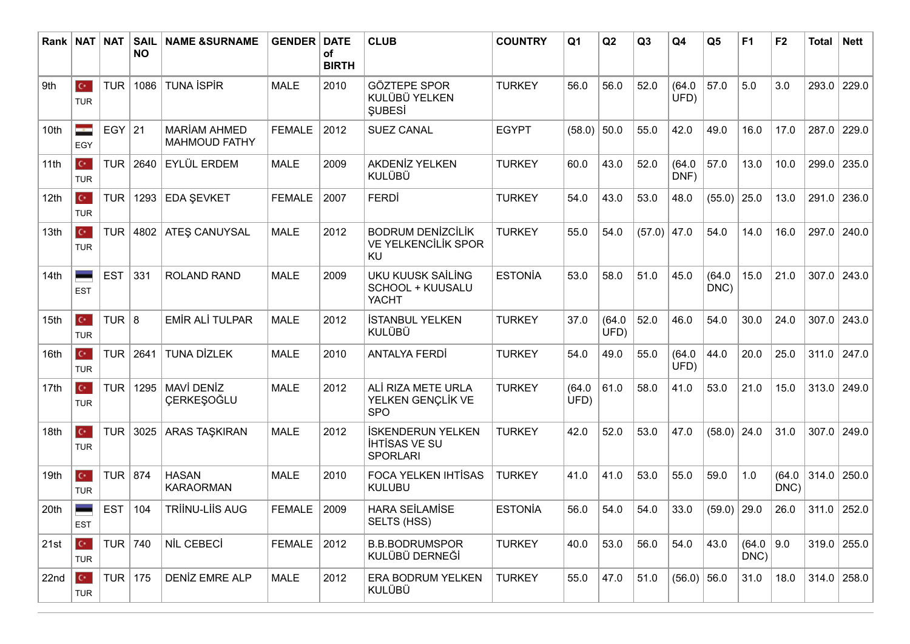| Rank | <b>NAT</b>                         | <b>NAT</b>     | <b>SAIL</b><br><b>NO</b> | <b>NAME &amp;SURNAME</b>                    | <b>GENDER</b> | <b>DATE</b><br><b>of</b><br><b>BIRTH</b> | <b>CLUB</b>                                                         | <b>COUNTRY</b> | Q <sub>1</sub> | Q2             | Q3            | Q4             | Q <sub>5</sub> | F <sub>1</sub> | F <sub>2</sub> | <b>Total</b> | <b>Nett</b>   |
|------|------------------------------------|----------------|--------------------------|---------------------------------------------|---------------|------------------------------------------|---------------------------------------------------------------------|----------------|----------------|----------------|---------------|----------------|----------------|----------------|----------------|--------------|---------------|
| 9th  | $\mathbf{C}^{\star}$<br><b>TUR</b> | <b>TUR</b>     | 1086                     | <b>TUNA ISPIR</b>                           | <b>MALE</b>   | 2010                                     | <b>GÖZTEPE SPOR</b><br>KULÜBÜ YELKEN<br><b>SUBESI</b>               | <b>TURKEY</b>  | 56.0           | 56.0           | 52.0          | (64.0)<br>UFD) | 57.0           | 5.0            | 3.0            | 293.0        | 229.0         |
| 10th | ÷<br>EGY                           | EGY 21         |                          | <b>MARİAM AHMED</b><br><b>MAHMOUD FATHY</b> | <b>FEMALE</b> | 2012                                     | <b>SUEZ CANAL</b>                                                   | <b>EGYPT</b>   | (58.0)         | 50.0           | 55.0          | 42.0           | 49.0           | 16.0           | 17.0           | 287.0        | 229.0         |
| 11th | $\mathbf{C}^{\star}$<br><b>TUR</b> | <b>TUR</b>     | 2640                     | <b>EYLÜL ERDEM</b>                          | <b>MALE</b>   | 2009                                     | <b>AKDENİZ YELKEN</b><br><b>KULÜBÜ</b>                              | <b>TURKEY</b>  | 60.0           | 43.0           | 52.0          | (64.0)<br>DNF) | 57.0           | 13.0           | 10.0           | 299.0        | 235.0         |
| 12th | $\mathbf{C}^{\star}$<br><b>TUR</b> | <b>TUR</b>     | 1293                     | EDA ŞEVKET                                  | <b>FEMALE</b> | 2007                                     | <b>FERDI</b>                                                        | <b>TURKEY</b>  | 54.0           | 43.0           | 53.0          | 48.0           | $(55.0)$ 25.0  |                | 13.0           | 291.0        | 236.0         |
| 13th | $\mathbf{C}^{\star}$<br><b>TUR</b> | <b>TUR</b>     | 4802                     | <b>ATEŞ CANUYSAL</b>                        | <b>MALE</b>   | 2012                                     | <b>BODRUM DENIZCILIK</b><br><b>VE YELKENCİLİK SPOR</b><br>KU        | <b>TURKEY</b>  | 55.0           | 54.0           | $(57.0)$ 47.0 |                | 54.0           | 14.0           | 16.0           |              | 297.0 240.0   |
| 14th | -<br><b>EST</b>                    | <b>EST</b>     | 331                      | <b>ROLAND RAND</b>                          | <b>MALE</b>   | 2009                                     | <b>UKU KUUSK SAİLİNG</b><br>SCHOOL + KUUSALU<br><b>YACHT</b>        | <b>ESTONÍA</b> | 53.0           | 58.0           | 51.0          | 45.0           | (64.0)<br>DNC) | 15.0           | 21.0           | 307.0        | 243.0         |
| 15th | $\mathbf{C}^{\star}$<br><b>TUR</b> | TUR $8$        |                          | <b>EMİR ALİ TULPAR</b>                      | <b>MALE</b>   | 2012                                     | <b>İSTANBUL YELKEN</b><br><b>KULÜBÜ</b>                             | <b>TURKEY</b>  | 37.0           | (64.0)<br>UFD) | 52.0          | 46.0           | 54.0           | 30.0           | 24.0           |              | $307.0$ 243.0 |
| 16th | $\mathbf{C}^{\star}$<br><b>TUR</b> | TUR            | 2641                     | <b>TUNA DİZLEK</b>                          | <b>MALE</b>   | 2010                                     | <b>ANTALYA FERDİ</b>                                                | <b>TURKEY</b>  | 54.0           | 49.0           | 55.0          | (64.0)<br>UFD) | 44.0           | 20.0           | 25.0           | 311.0        | 247.0         |
| 17th | $\mathbf{C}^{\star}$<br><b>TUR</b> | <b>TUR</b>     | 1295                     | MAVİ DENİZ<br>ÇERKEŞOĞLU                    | <b>MALE</b>   | 2012                                     | ALİ RIZA METE URLA<br>YELKEN GENÇLİK VE<br><b>SPO</b>               | <b>TURKEY</b>  | (64.0)<br>UFD) | 61.0           | 58.0          | 41.0           | 53.0           | 21.0           | 15.0           |              | 313.0 249.0   |
| 18th | $\mathbf{C}^{\star}$<br><b>TUR</b> | <b>TUR</b>     | 3025                     | <b>ARAS TAŞKIRAN</b>                        | <b>MALE</b>   | 2012                                     | <b>İSKENDERUN YELKEN</b><br><b>IHTISAS VE SU</b><br><b>SPORLARI</b> | <b>TURKEY</b>  | 42.0           | 52.0           | 53.0          | 47.0           | $(58.0)$ 24.0  |                | 31.0           | 307.0        | 249.0         |
| 19th | $\mathbf{C}^{\star}$<br><b>TUR</b> | <b>TUR 874</b> |                          | <b>HASAN</b><br><b>KARAORMAN</b>            | <b>MALE</b>   | 2010                                     | <b>FOCA YELKEN IHTISAS</b><br><b>KULUBU</b>                         | <b>TURKEY</b>  | 41.0           | 41.0           | 53.0          | 55.0           | 59.0           | 1.0            | (64.0)<br>DNC) |              | $314.0$ 250.0 |
| 20th | <b>EST</b>                         | <b>EST</b>     | 104                      | TRİİNU-LİİS AUG                             | <b>FEMALE</b> | 2009                                     | <b>HARA SEİLAMİSE</b><br>SELTS (HSS)                                | <b>ESTONÍA</b> | 56.0           | 54.0           | 54.0          | 33.0           | $(59.0)$ 29.0  |                | 26.0           |              | 311.0  252.0  |
| 21st | $\mathbf{C}^{\star}$<br><b>TUR</b> | TUR $ 740$     |                          | NİL CEBECİ                                  | FEMALE 2012   |                                          | <b>B.B.BODRUMSPOR</b><br>KULÜBÜ DERNEĞİ                             | <b>TURKEY</b>  | 40.0           | 53.0           | 56.0          | 54.0           | 43.0           | (64.0)<br>DNC  | 9.0            |              | 319.0 255.0   |
| 22nd | $\mathbf{C}^{\star}$<br><b>TUR</b> | TUR $ 175$     |                          | DENIZ EMRE ALP                              | <b>MALE</b>   | 2012                                     | ERA BODRUM YELKEN<br><b>KULÜBÜ</b>                                  | <b>TURKEY</b>  | 55.0           | 47.0           | 51.0          | $(56.0)$ 56.0  |                | 31.0           | 18.0           |              | 314.0 258.0   |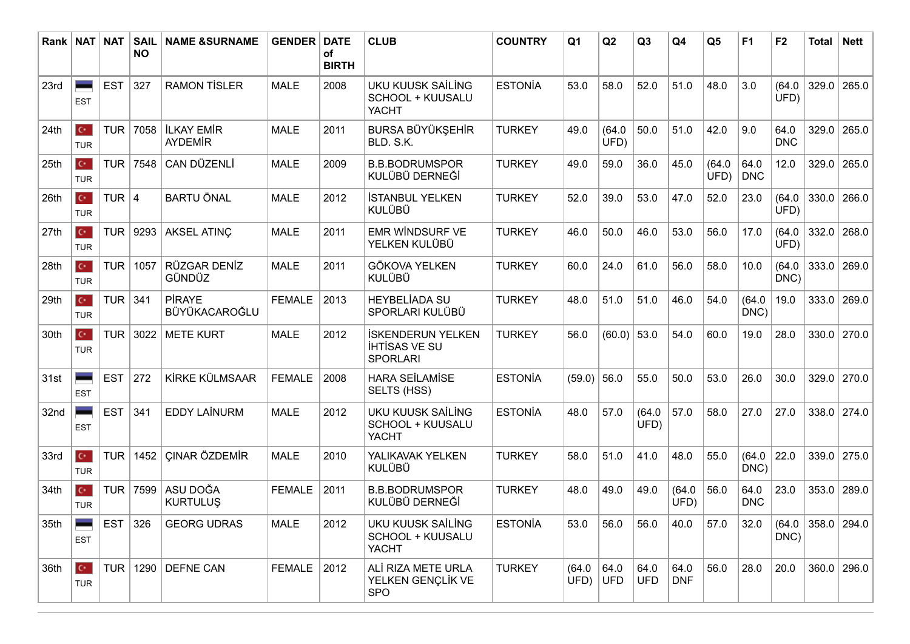| Rank I | $\vert$ NAT $\vert$                  | <b>NAT</b> | <b>SAIL</b><br><b>NO</b> | <b>NAME &amp;SURNAME</b>            | <b>GENDER</b>      | <b>DATE</b><br>of<br><b>BIRTH</b> | <b>CLUB</b>                                                         | <b>COUNTRY</b> | Q <sub>1</sub> | Q2             | Q <sub>3</sub>     | Q <sub>4</sub>     | Q <sub>5</sub> | F <sub>1</sub>     | F <sub>2</sub>     | <b>Total</b> | <b>Nett</b>                   |
|--------|--------------------------------------|------------|--------------------------|-------------------------------------|--------------------|-----------------------------------|---------------------------------------------------------------------|----------------|----------------|----------------|--------------------|--------------------|----------------|--------------------|--------------------|--------------|-------------------------------|
| 23rd   | <b>EST</b>                           | <b>EST</b> | 327                      | <b>RAMON TİSLER</b>                 | <b>MALE</b>        | 2008                              | <b>UKU KUUSK SAİLİNG</b><br>SCHOOL + KUUSALU<br><b>YACHT</b>        | <b>ESTONÍA</b> | 53.0           | 58.0           | 52.0               | 51.0               | 48.0           | 3.0                | (64.0)<br>UFD)     | 329.0        | 265.0                         |
| 24th   | $\mathbf{C}^{\star}$<br><b>TUR</b>   | <b>TUR</b> | 7058                     | <b>İLKAY EMİR</b><br><b>AYDEMİR</b> | <b>MALE</b>        | 2011                              | <b>BURSA BÜYÜKŞEHİR</b><br>BLD. S.K.                                | <b>TURKEY</b>  | 49.0           | (64.0)<br>UFD) | 50.0               | 51.0               | 42.0           | 9.0                | 64.0<br><b>DNC</b> | 329.0        | 265.0                         |
| 25th   | $\mathbf{C}^{\star}$<br><b>TUR</b>   | <b>TUR</b> | 7548                     | CAN DÜZENLİ                         | <b>MALE</b>        | 2009                              | <b>B.B.BODRUMSPOR</b><br>KULÜBÜ DERNEĞİ                             | <b>TURKEY</b>  | 49.0           | 59.0           | 36.0               | 45.0               | (64.0)<br>UFD) | 64.0<br><b>DNC</b> | 12.0               | 329.0        | 265.0                         |
| 26th   | $\mathbf{C}^{\star}$ .<br><b>TUR</b> | TUR $ 4$   |                          | <b>BARTU ÖNAL</b>                   | <b>MALE</b>        | 2012                              | <b>İSTANBUL YELKEN</b><br><b>KULÜBÜ</b>                             | <b>TURKEY</b>  | 52.0           | 39.0           | 53.0               | 47.0               | 52.0           | 23.0               | (64.0)<br>UFD)     | 330.0        | 266.0                         |
| 27th   | $\mathbf{C}^{\star}$<br><b>TUR</b>   | TUR        | 9293                     | <b>AKSEL ATINÇ</b>                  | <b>MALE</b>        | 2011                              | <b>EMR WINDSURF VE</b><br>YELKEN KULÜBÜ                             | <b>TURKEY</b>  | 46.0           | 50.0           | 46.0               | 53.0               | 56.0           | 17.0               | (64.0)<br>UFD)     | 332.0        | 268.0                         |
| 28th   | $\mathbf{C}^{\star}$<br><b>TUR</b>   | <b>TUR</b> | 1057                     | RÜZGAR DENİZ<br>GÜNDÜZ              | <b>MALE</b>        | 2011                              | <b>GÖKOVA YELKEN</b><br><b>KULÜBÜ</b>                               | <b>TURKEY</b>  | 60.0           | 24.0           | 61.0               | 56.0               | 58.0           | 10.0               | (64.0)<br>DNC)     | 333.0        | 269.0                         |
| 29th   | $\mathbf{C}^{\star}$<br><b>TUR</b>   | TUR 341    |                          | <b>PİRAYE</b><br>BÜYÜKACAROĞLU      | <b>FEMALE</b>      | 2013                              | <b>HEYBELİADA SU</b><br>SPORLARI KULÜBÜ                             | <b>TURKEY</b>  | 48.0           | 51.0           | 51.0               | 46.0               | 54.0           | (64.0)<br>DNC)     | 19.0               | 333.0        | 269.0                         |
| 30th   | $\mathbf{C}^{\star}$<br><b>TUR</b>   | <b>TUR</b> | 3022                     | <b>METE KURT</b>                    | <b>MALE</b>        | 2012                              | <b>İSKENDERUN YELKEN</b><br><b>IHTISAS VE SU</b><br><b>SPORLARI</b> | <b>TURKEY</b>  | 56.0           | (60.0)         | 53.0               | 54.0               | 60.0           | 19.0               | 28.0               | 330.0        | 270.0                         |
| 31st   | <b>EST</b>                           | <b>EST</b> | 272                      | KİRKE KÜLMSAAR                      | <b>FEMALE</b>      | 2008                              | <b>HARA SEİLAMİSE</b><br>SELTS (HSS)                                | <b>ESTONÍA</b> | (59.0)         | 56.0           | 55.0               | 50.0               | 53.0           | 26.0               | 30.0               | 329.0        | 270.0                         |
| 32nd   | <b>EST</b>                           | <b>EST</b> | 341                      | <b>EDDY LAİNURM</b>                 | <b>MALE</b>        | 2012                              | UKU KUUSK SAİLİNG<br>SCHOOL + KUUSALU<br><b>YACHT</b>               | <b>ESTONÍA</b> | 48.0           | 57.0           | (64.0)<br>UFD)     | 57.0               | 58.0           | 27.0               | 27.0               | 338.0        | 274.0                         |
| 33rd   | $\mathbf{C}^{\star}$<br><b>TUR</b>   | <b>TUR</b> | 1452                     | <b>ÇINAR ÖZDEMİR</b>                | <b>MALE</b>        | 2010                              | YALIKAVAK YELKEN<br><b>KULÜBÜ</b>                                   | <b>TURKEY</b>  | 58.0           | 51.0           | 41.0               | 48.0               | 55.0           | (64.0)<br>DNC)     | 22.0               | 339.0        | 275.0                         |
| 34th   | $\mathbf{C}^{\star}$<br><b>TUR</b>   | <b>TUR</b> | 7599                     | ASU DOĞA<br><b>KURTULUŞ</b>         | <b>FEMALE</b>      | 2011                              | <b>B.B.BODRUMSPOR</b><br>KULÜBÜ DERNEĞİ                             | <b>TURKEY</b>  | 48.0           | 49.0           | 49.0               | (64.0)<br>UFD)     | 56.0           | 64.0<br><b>DNC</b> | 23.0               | 353.0        | 289.0                         |
| 35th   | <b>EST</b>                           | EST $326$  |                          | <b>GEORG UDRAS</b>                  | <b>MALE</b>        | 2012                              | UKU KUUSK SAİLİNG<br>SCHOOL + KUUSALU<br><b>YACHT</b>               | <b>ESTONÍA</b> | 53.0           | 56.0           | 56.0               | 40.0               | 57.0           | 32.0               | DNC)               |              | $(64.0 \mid 358.0 \mid 294.0$ |
| 36th   | $\mathbf{C}^{\star}$ .<br><b>TUR</b> | TUR        |                          | 1290 DEFNE CAN                      | <b>FEMALE</b> 2012 |                                   | ALİ RIZA METE URLA<br>YELKEN GENÇLİK VE<br><b>SPO</b>               | <b>TURKEY</b>  | (64.0)<br>UFD) | 64.0<br>UFD    | 64.0<br><b>UFD</b> | 64.0<br><b>DNF</b> | 56.0           | 28.0               | 20.0               |              | $360.0$ 296.0                 |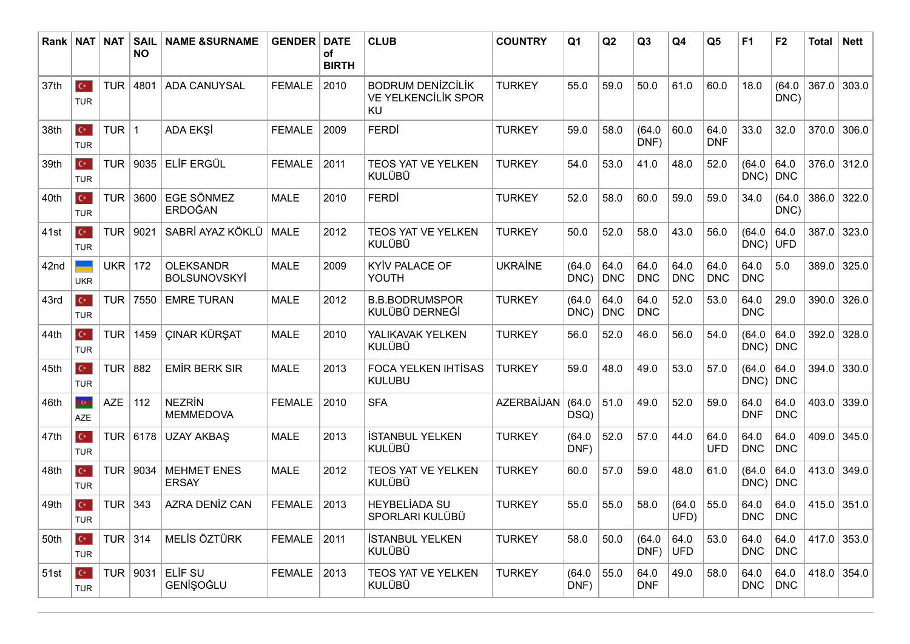| Rank   NAT |                                    | <b>NAT</b> | <b>SAIL</b><br><b>NO</b> | <b>NAME &amp;SURNAME</b>                | <b>GENDER</b> | <b>DATE</b><br><b>of</b><br><b>BIRTH</b> | <b>CLUB</b>                                                  | <b>COUNTRY</b> | Q <sub>1</sub> | Q2                 | Q <sub>3</sub>     | Q <sub>4</sub>     | Q <sub>5</sub>     | F <sub>1</sub>          | F <sub>2</sub>      | <b>Total</b> | <b>Nett</b>   |
|------------|------------------------------------|------------|--------------------------|-----------------------------------------|---------------|------------------------------------------|--------------------------------------------------------------|----------------|----------------|--------------------|--------------------|--------------------|--------------------|-------------------------|---------------------|--------------|---------------|
| 37th       | $\mathbf{C}^{\star}$<br><b>TUR</b> | <b>TUR</b> | 4801                     | <b>ADA CANUYSAL</b>                     | <b>FEMALE</b> | 2010                                     | <b>BODRUM DENIZCILIK</b><br><b>VE YELKENCİLİK SPOR</b><br>KU | <b>TURKEY</b>  | 55.0           | 59.0               | 50.0               | 61.0               | 60.0               | 18.0                    | (64.0)<br>DNC)      | 367.0        | 303.0         |
| 38th       | $\mathbf{C}^{\star}$<br><b>TUR</b> | TUR $ 1$   |                          | ADA EKŞİ                                | <b>FEMALE</b> | 2009                                     | <b>FERDİ</b>                                                 | <b>TURKEY</b>  | 59.0           | 58.0               | (64.0)<br>DNF)     | 60.0               | 64.0<br><b>DNF</b> | 33.0                    | 32.0                | 370.0        | 306.0         |
| 39th       | $\mathbf{C}^{\star}$<br><b>TUR</b> | <b>TUR</b> | 9035                     | ELİF ERGÜL                              | <b>FEMALE</b> | 2011                                     | TEOS YAT VE YELKEN<br><b>KULÜBÜ</b>                          | <b>TURKEY</b>  | 54.0           | 53.0               | 41.0               | 48.0               | 52.0               | (64.0)<br>$DNC$   $DNC$ | 64.0                |              | 376.0 312.0   |
| 40th       | $\mathbb{C}^*$<br><b>TUR</b>       | <b>TUR</b> | 3600                     | <b>EGE SÖNMEZ</b><br>ERDOĞAN            | <b>MALE</b>   | 2010                                     | <b>FERDI</b>                                                 | <b>TURKEY</b>  | 52.0           | 58.0               | 60.0               | 59.0               | 59.0               | 34.0                    | (64.0)<br>DNC)      | 386.0        | 322.0         |
| 41st       | $\mathbf{C}^{\star}$<br><b>TUR</b> | <b>TUR</b> | 9021                     | SABRİ AYAZ KÖKLÜ                        | MALE          | 2012                                     | TEOS YAT VE YELKEN<br><b>KULÜBÜ</b>                          | <b>TURKEY</b>  | 50.0           | 52.0               | 58.0               | 43.0               | 56.0               | (64.0)<br>$DNC$ ) UFD   | 64.0                | 387.0        | 323.0         |
| 42nd       | <b>UKR</b>                         | <b>UKR</b> | 172                      | <b>OLEKSANDR</b><br><b>BOLSUNOVSKYİ</b> | <b>MALE</b>   | 2009                                     | KYİV PALACE OF<br>YOUTH                                      | <b>UKRAINE</b> | (64.0)<br>DNC) | 64.0<br><b>DNC</b> | 64.0<br><b>DNC</b> | 64.0<br><b>DNC</b> | 64.0<br><b>DNC</b> | 64.0<br><b>DNC</b>      | 5.0                 | 389.0        | 325.0         |
| 43rd       | $\mathbf{C}^{\star}$<br><b>TUR</b> | TUR        | 7550                     | <b>EMRE TURAN</b>                       | <b>MALE</b>   | 2012                                     | <b>B.B.BODRUMSPOR</b><br>KULÜBÜ DERNEĞİ                      | <b>TURKEY</b>  | (64.0)<br>DNC) | 64.0<br><b>DNC</b> | 64.0<br><b>DNC</b> | 52.0               | 53.0               | 64.0<br><b>DNC</b>      | 29.0                | 390.0        | 326.0         |
| 44th       | $\mathbf{C}^{\star}$<br><b>TUR</b> | <b>TUR</b> | 1459                     | <b>ÇINAR KÜRŞAT</b>                     | <b>MALE</b>   | 2010                                     | YALIKAVAK YELKEN<br><b>KULÜBÜ</b>                            | <b>TURKEY</b>  | 56.0           | 52.0               | 46.0               | 56.0               | 54.0               | (64.0)<br>DNC)          | 64.0<br>$\vert$ DNC | 392.0        | 328.0         |
| 45th       | $\mathbf{C}^{\star}$<br><b>TUR</b> | <b>TUR</b> | 882                      | <b>EMİR BERK SIR</b>                    | <b>MALE</b>   | 2013                                     | <b>FOCA YELKEN IHTISAS</b><br><b>KULUBU</b>                  | <b>TURKEY</b>  | 59.0           | 48.0               | 49.0               | 53.0               | 57.0               | (64.0)<br>$DNC$   $DNC$ | 64.0                | 394.0        | 330.0         |
| 46th       | ton<br><b>AZE</b>                  | <b>AZE</b> | 112                      | <b>NEZRIN</b><br><b>MEMMEDOVA</b>       | <b>FEMALE</b> | 2010                                     | <b>SFA</b>                                                   | AZERBAİJAN     | (64.0)<br>DSQ) | 51.0               | 49.0               | 52.0               | 59.0               | 64.0<br><b>DNF</b>      | 64.0<br><b>DNC</b>  | 403.0        | 339.0         |
| 47th       | $\mathbf{C}^{\star}$<br><b>TUR</b> | <b>TUR</b> | 6178                     | <b>UZAY AKBAŞ</b>                       | <b>MALE</b>   | 2013                                     | <b>İSTANBUL YELKEN</b><br><b>KULÜBÜ</b>                      | <b>TURKEY</b>  | (64.0)<br>DNF) | 52.0               | 57.0               | 44.0               | 64.0<br><b>UFD</b> | 64.0<br><b>DNC</b>      | 64.0<br><b>DNC</b>  | 409.0        | 345.0         |
| 48th       | $\mathbf{C}^{\star}$<br><b>TUR</b> | <b>TUR</b> | 9034                     | <b>MEHMET ENES</b><br><b>ERSAY</b>      | <b>MALE</b>   | 2012                                     | <b>TEOS YAT VE YELKEN</b><br><b>KULÜBÜ</b>                   | <b>TURKEY</b>  | 60.0           | 57.0               | 59.0               | 48.0               | 61.0               | (64.0)<br>DNC)          | 64.0<br><b>DNC</b>  | 413.0        | 349.0         |
| 49th       | $C^*$<br><b>TUR</b>                | TUR $ 343$ |                          | <b>AZRA DENİZ CAN</b>                   | <b>FEMALE</b> | 2013                                     | <b>HEYBELİADA SU</b><br>SPORLARI KULÜBÜ                      | <b>TURKEY</b>  | 55.0           | 55.0               | 58.0               | (64.0)<br>UFD)     | 55.0               | 64.0<br><b>DNC</b>      | 64.0<br><b>DNC</b>  |              | $415.0$ 351.0 |
| 50th       | $\mathbf{C}^{\star}$<br><b>TUR</b> | TUR $314$  |                          | MELİS ÖZTÜRK                            | <b>FEMALE</b> | 2011                                     | <b>İSTANBUL YELKEN</b><br><b>KULÜBÜ</b>                      | <b>TURKEY</b>  | 58.0           | 50.0               | (64.0)<br>DNF)     | 64.0<br><b>UFD</b> | 53.0               | 64.0<br><b>DNC</b>      | 64.0<br>DNC         | 417.0        | 353.0         |
| 51st       | $\mathbf{C}^{\star}$<br><b>TUR</b> |            | TUR   9031               | ELIF <sub>SU</sub><br>GENİŞOĞLU         | <b>FEMALE</b> | 2013                                     | TEOS YAT VE YELKEN<br><b>KULÜBÜ</b>                          | <b>TURKEY</b>  | (64.0)<br>DNF) | 55.0               | 64.0<br><b>DNF</b> | 49.0               | 58.0               | 64.0<br><b>DNC</b>      | 64.0<br> DNC        | 418.0        | 354.0         |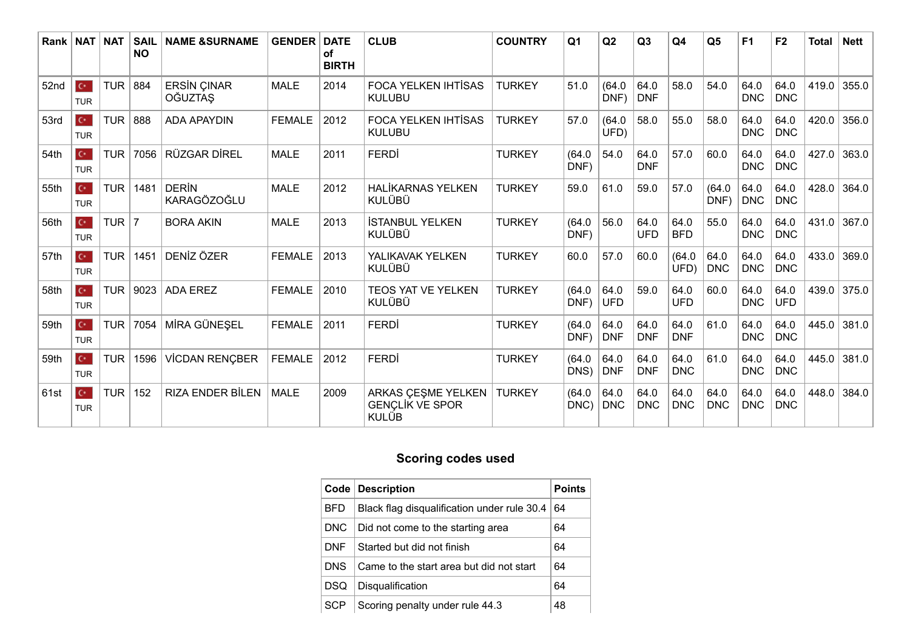| Rank   NAT |                                      | NAT        | <b>SAIL</b><br><b>NO</b> | <b>NAME &amp;SURNAME</b>             | <b>GENDER</b> | <b>DATE</b><br>οf<br><b>BIRTH</b> | <b>CLUB</b>                                                  | <b>COUNTRY</b> | Q <sub>1</sub> | Q <sub>2</sub>     | Q3                 | Q4                 | Q <sub>5</sub>     | F <sub>1</sub>     | F <sub>2</sub>     | <b>Total</b> | <b>Nett</b> |
|------------|--------------------------------------|------------|--------------------------|--------------------------------------|---------------|-----------------------------------|--------------------------------------------------------------|----------------|----------------|--------------------|--------------------|--------------------|--------------------|--------------------|--------------------|--------------|-------------|
| 52nd       | $\mathbf{C}^{\star}$<br><b>TUR</b>   | <b>TUR</b> | 884                      | <b>ERSIN ÇINAR</b><br><b>OĞUZTAŞ</b> | <b>MALE</b>   | 2014                              | <b>FOCA YELKEN IHTISAS</b><br><b>KULUBU</b>                  | <b>TURKEY</b>  | 51.0           | (64.0)<br>DNF)     | 64.0<br><b>DNF</b> | 58.0               | 54.0               | 64.0<br><b>DNC</b> | 64.0<br><b>DNC</b> | 419.0        | 355.0       |
| 53rd       | $\mathbf{C}^{\star}$<br><b>TUR</b>   | <b>TUR</b> | 888                      | <b>ADA APAYDIN</b>                   | <b>FEMALE</b> | 2012                              | <b>FOCA YELKEN IHTISAS</b><br><b>KULUBU</b>                  | <b>TURKEY</b>  | 57.0           | (64.0)<br>UFD)     | 58.0               | 55.0               | 58.0               | 64.0<br><b>DNC</b> | 64.0<br><b>DNC</b> | 420.0        | 356.0       |
| 54th       | $\mathbf{C}^{\star}$<br><b>TUR</b>   | <b>TUR</b> | 7056                     | RÜZGAR DİREL                         | <b>MALE</b>   | 2011                              | FERDI                                                        | <b>TURKEY</b>  | (64.0)<br>DNF) | 54.0               | 64.0<br><b>DNF</b> | 57.0               | 60.0               | 64.0<br><b>DNC</b> | 64.0<br><b>DNC</b> | 427.0        | 363.0       |
| 55th       | $\mathbf{C}^{\star}$<br><b>TUR</b>   | <b>TUR</b> | 1481                     | <b>DERIN</b><br><b>KARAGÖZOĞLU</b>   | <b>MALE</b>   | 2012                              | <b>HALİKARNAS YELKEN</b><br>KULÜBÜ                           | <b>TURKEY</b>  | 59.0           | 61.0               | 59.0               | 57.0               | (64.0)<br>DNF)     | 64.0<br><b>DNC</b> | 64.0<br><b>DNC</b> | 428.0        | 364.0       |
| 56th       | $\mathbf{C}^{\star}$<br><b>TUR</b>   | TUR $ 7$   |                          | <b>BORA AKIN</b>                     | <b>MALE</b>   | 2013                              | <b>İSTANBUL YELKEN</b><br><b>KULÜBÜ</b>                      | <b>TURKEY</b>  | (64.0)<br>DNF) | 56.0               | 64.0<br><b>UFD</b> | 64.0<br><b>BFD</b> | 55.0               | 64.0<br><b>DNC</b> | 64.0<br><b>DNC</b> | 431.0        | 367.0       |
| 57th       | $\mathbf{C}^{\star}$<br><b>TUR</b>   | <b>TUR</b> | 1451                     | DENİZ ÖZER                           | <b>FEMALE</b> | 2013                              | YALIKAVAK YELKEN<br><b>KULÜBÜ</b>                            | <b>TURKEY</b>  | 60.0           | 57.0               | 60.0               | (64.0)<br>UFD)     | 64.0<br>DNC        | 64.0<br><b>DNC</b> | 64.0<br><b>DNC</b> | 433.0        | 369.0       |
| 58th       | $\mathbf{C}^{\star}$ .<br><b>TUR</b> | <b>TUR</b> | 9023                     | <b>ADA EREZ</b>                      | <b>FEMALE</b> | 2010                              | TEOS YAT VE YELKEN<br><b>KULÜBÜ</b>                          | <b>TURKEY</b>  | (64.0)<br>DNF) | 64.0<br><b>UFD</b> | 59.0               | 64.0<br><b>UFD</b> | 60.0               | 64.0<br><b>DNC</b> | 64.0<br><b>UFD</b> | 439.0        | 375.0       |
| 59th       | $\mathbf{C}^{\star}$<br><b>TUR</b>   | <b>TUR</b> | 7054                     | MİRA GÜNEŞEL                         | <b>FEMALE</b> | 2011                              | <b>FERDI</b>                                                 | <b>TURKEY</b>  | (64.0)<br>DNF) | 64.0<br><b>DNF</b> | 64.0<br><b>DNF</b> | 64.0<br><b>DNF</b> | 61.0               | 64.0<br><b>DNC</b> | 64.0<br><b>DNC</b> | 445.0        | 381.0       |
| 59th       | $\mathbf{C}^{\star}$<br><b>TUR</b>   | <b>TUR</b> | 1596                     | <b>VİCDAN RENÇBER</b>                | <b>FEMALE</b> | 2012                              | <b>FERDI</b>                                                 | <b>TURKEY</b>  | (64.0)<br>DNS) | 64.0<br><b>DNF</b> | 64.0<br><b>DNF</b> | 64.0<br><b>DNC</b> | 61.0               | 64.0<br><b>DNC</b> | 64.0<br><b>DNC</b> | 445.0        | 381.0       |
| 61st       | $\mathbf{C}^{\star}$<br><b>TUR</b>   | <b>TUR</b> | 152                      | <b>RIZA ENDER BİLEN</b>              | <b>MALE</b>   | 2009                              | ARKAS ÇEŞME YELKEN<br><b>GENÇLİK VE SPOR</b><br><b>KULÜB</b> | <b>TURKEY</b>  | (64.0)<br>DNC) | 64.0<br><b>DNC</b> | 64.0<br><b>DNC</b> | 64.0<br><b>DNC</b> | 64.0<br><b>DNC</b> | 64.0<br><b>DNC</b> | 64.0<br><b>DNC</b> | 448.0        | 384.0       |

## **Scoring codes used**

| Code       | Description                                 | <b>Points</b> |
|------------|---------------------------------------------|---------------|
| <b>BFD</b> | Black flag disqualification under rule 30.4 | 64            |
| DNC.       | Did not come to the starting area           | 64            |
| <b>DNF</b> | Started but did not finish                  | 64            |
| <b>DNS</b> | Came to the start area but did not start    | 64            |
| DSQ        | Disqualification                            | 64            |
| SCP.       | Scoring penalty under rule 44.3             | 48            |